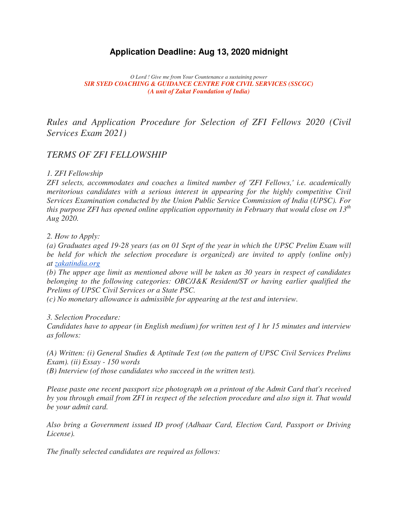# **Application Deadline: Aug 13, 2020 midnight**

*O Lord ! Give me from Your Countenance a sustaining power SIR SYED COACHING & GUIDANCE CENTRE FOR CIVIL SERVICES (SSCGC) (A unit of Zakat Foundation of India)*

*Rules and Application Procedure for Selection of ZFI Fellows 2020 (Civil Services Exam 2021)*

# *TERMS OF ZFI FELLOWSHIP*

#### *1. ZFI Fellowship*

*ZFI selects, accommodates and coaches a limited number of 'ZFI Fellows,' i.e. academically meritorious candidates with a serious interest in appearing for the highly competitive Civil Services Examination conducted by the Union Public Service Commission of India (UPSC). For this purpose ZFI has opened online application opportunity in February that would close on 13th Aug 2020.* 

*2. How to Apply:*

*(a) Graduates aged 19-28 years (as on 01 Sept of the year in which the UPSC Prelim Exam will be held for which the selection procedure is organized) are invited to apply (online only) at zakatindia.org*

*(b) The upper age limit as mentioned above will be taken as 30 years in respect of candidates belonging to the following categories: OBC/J&K Resident/ST or having earlier qualified the Prelims of UPSC Civil Services or a State PSC.*

*(c) No monetary allowance is admissible for appearing at the test and interview.*

#### *3. Selection Procedure:*

*Candidates have to appear (in English medium) for written test of 1 hr 15 minutes and interview as follows:*

*(A) Written: (i) General Studies & Aptitude Test (on the pattern of UPSC Civil Services Prelims Exam). (ii) Essay - 150 words* 

*(B) Interview (of those candidates who succeed in the written test).*

*Please paste one recent passport size photograph on a printout of the Admit Card that's received by you through email from ZFI in respect of the selection procedure and also sign it. That would be your admit card.*

*Also bring a Government issued ID proof (Adhaar Card, Election Card, Passport or Driving License).*

*The finally selected candidates are required as follows:*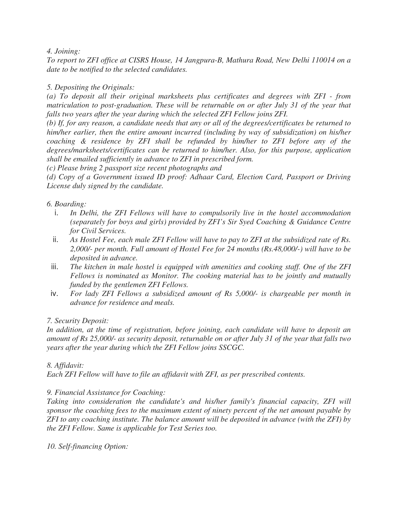#### *4. Joining:*

*To report to ZFI office at CISRS House, 14 Jangpura-B, Mathura Road, New Delhi 110014 on a date to be notified to the selected candidates.*

## *5. Depositing the Originals:*

*(a) To deposit all their original marksheets plus certificates and degrees with ZFI - from matriculation to post-graduation. These will be returnable on or after July 31 of the year that falls two years after the year during which the selected ZFI Fellow joins ZFI.*

*(b) If, for any reason, a candidate needs that any or all of the degrees/certificates be returned to him/her earlier, then the entire amount incurred (including by way of subsidization) on his/her coaching & residence by ZFI shall be refunded by him/her to ZFI before any of the degrees/marksheets/certificates can be returned to him/her. Also, for this purpose, application shall be emailed sufficiently in advance to ZFI in prescribed form.*

*(c) Please bring 2 passport size recent photographs and* 

*(d) Copy of a Government issued ID proof: Adhaar Card, Election Card, Passport or Driving License duly signed by the candidate.*

### *6. Boarding:*

- i. *In Delhi, the ZFI Fellows will have to compulsorily live in the hostel accommodation (separately for boys and girls) provided by ZFI's Sir Syed Coaching & Guidance Centre for Civil Services.*
- ii. *As Hostel Fee, each male ZFI Fellow will have to pay to ZFI at the subsidized rate of Rs. 2,000/- per month. Full amount of Hostel Fee for 24 months (Rs.48,000/-) will have to be deposited in advance.*
- iii. *The kitchen in male hostel is equipped with amenities and cooking staff. One of the ZFI Fellows is nominated as Monitor. The cooking material has to be jointly and mutually funded by the gentlemen ZFI Fellows.*
- iv. *For lady ZFI Fellows a subsidized amount of Rs 5,000/- is chargeable per month in advance for residence and meals.*

### *7. Security Deposit:*

*In addition, at the time of registration, before joining, each candidate will have to deposit an amount of Rs 25,000/- as security deposit, returnable on or after July 31 of the year that falls two years after the year during which the ZFI Fellow joins SSCGC.*

### *8. Affidavit:*

*Each ZFI Fellow will have to file an affidavit with ZFI, as per prescribed contents.*

### *9. Financial Assistance for Coaching:*

*Taking into consideration the candidate's and his/her family's financial capacity, ZFI will sponsor the coaching fees to the maximum extent of ninety percent of the net amount payable by ZFI to any coaching institute. The balance amount will be deposited in advance (with the ZFI) by the ZFI Fellow. Same is applicable for Test Series too.*

*10. Self-financing Option:*